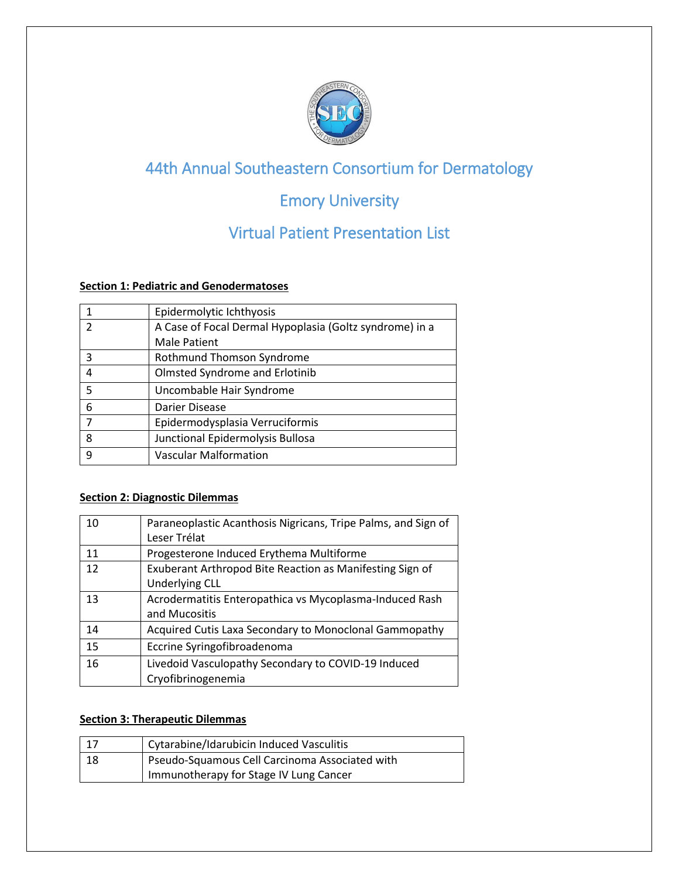

# 44th Annual Southeastern Consortium for Dermatology

# Emory University

# Virtual Patient Presentation List

#### **Section 1: Pediatric and Genodermatoses**

|   | Epidermolytic Ichthyosis                                |
|---|---------------------------------------------------------|
|   | A Case of Focal Dermal Hypoplasia (Goltz syndrome) in a |
|   | <b>Male Patient</b>                                     |
| 3 | Rothmund Thomson Syndrome                               |
|   | <b>Olmsted Syndrome and Erlotinib</b>                   |
| 5 | Uncombable Hair Syndrome                                |
| 6 | Darier Disease                                          |
|   | Epidermodysplasia Verruciformis                         |
| 8 | Junctional Epidermolysis Bullosa                        |
| q | <b>Vascular Malformation</b>                            |

### **Section 2: Diagnostic Dilemmas**

| 10 | Paraneoplastic Acanthosis Nigricans, Tripe Palms, and Sign of<br>Leser Trélat     |
|----|-----------------------------------------------------------------------------------|
| 11 | Progesterone Induced Erythema Multiforme                                          |
| 12 | Exuberant Arthropod Bite Reaction as Manifesting Sign of<br><b>Underlying CLL</b> |
| 13 | Acrodermatitis Enteropathica vs Mycoplasma-Induced Rash                           |
|    | and Mucositis                                                                     |
| 14 | Acquired Cutis Laxa Secondary to Monoclonal Gammopathy                            |
| 15 | Eccrine Syringofibroadenoma                                                       |
| 16 | Livedoid Vasculopathy Secondary to COVID-19 Induced                               |
|    | Cryofibrinogenemia                                                                |

#### **Section 3: Therapeutic Dilemmas**

|    | Cytarabine/Idarubicin Induced Vasculitis       |
|----|------------------------------------------------|
| 18 | Pseudo-Squamous Cell Carcinoma Associated with |
|    | Immunotherapy for Stage IV Lung Cancer         |